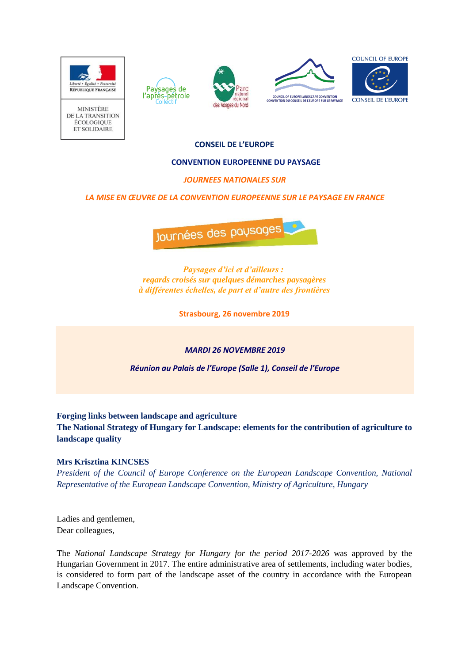

**MINISTÈRE** DE LA TRANSITION ÉCOLOGIOUE ET SOLIDAIRE



– Paysages de<br>l'après-pétrole





**CONSEIL DE L'EUROPE**

## **CONVENTION EUROPEENNE DU PAYSAGE**

# *JOURNEES NATIONALES SUR*

# *LA MISE EN ŒUVRE DE LA CONVENTION EUROPEENNE SUR LE PAYSAGE EN FRANCE*



*Paysages d'ici et d'ailleurs : regards croisés sur quelques démarches paysagères à différentes échelles, de part et d'autre des frontières*

**Strasbourg, 26 novembre 2019**

## *MARDI 26 NOVEMBRE 2019*

*Réunion au Palais de l'Europe (Salle 1), Conseil de l'Europe*

## **Forging links between landscape and agriculture**

**The National Strategy of Hungary for Landscape: elements for the contribution of agriculture to landscape quality**

## **Mrs Krisztina KINCSES**

*President of the Council of Europe Conference on the European Landscape Convention, National Representative of the European Landscape Convention, Ministry of Agriculture, Hungary*

Ladies and gentlemen, Dear colleagues,

The *National Landscape Strategy for Hungary for the period 2017-2026* was approved by the Hungarian Government in 2017. The entire administrative area of settlements, including water bodies, is considered to form part of the landscape asset of the country in accordance with the European Landscape Convention.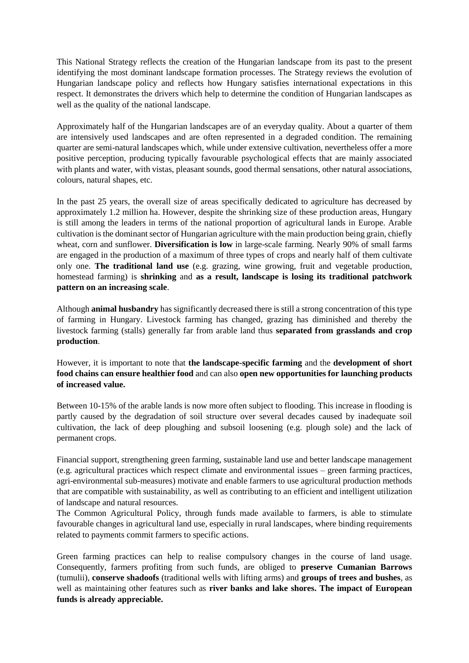This National Strategy reflects the creation of the Hungarian landscape from its past to the present identifying the most dominant landscape formation processes. The Strategy reviews the evolution of Hungarian landscape policy and reflects how Hungary satisfies international expectations in this respect. It demonstrates the drivers which help to determine the condition of Hungarian landscapes as well as the quality of the national landscape.

Approximately half of the Hungarian landscapes are of an everyday quality. About a quarter of them are intensively used landscapes and are often represented in a degraded condition. The remaining quarter are semi-natural landscapes which, while under extensive cultivation, nevertheless offer a more positive perception, producing typically favourable psychological effects that are mainly associated with plants and water, with vistas, pleasant sounds, good thermal sensations, other natural associations, colours, natural shapes, etc.

In the past 25 years, the overall size of areas specifically dedicated to agriculture has decreased by approximately 1.2 million ha. However, despite the shrinking size of these production areas, Hungary is still among the leaders in terms of the national proportion of agricultural lands in Europe. Arable cultivation is the dominant sector of Hungarian agriculture with the main production being grain, chiefly wheat, corn and sunflower. **Diversification is low** in large-scale farming. Nearly 90% of small farms are engaged in the production of a maximum of three types of crops and nearly half of them cultivate only one. **The traditional land use** (e.g. grazing, wine growing, fruit and vegetable production, homestead farming) is **shrinking** and **as a result, landscape is losing its traditional patchwork pattern on an increasing scale**.

Although **animal husbandry** has significantly decreased there is still a strong concentration of this type of farming in Hungary. Livestock farming has changed, grazing has diminished and thereby the livestock farming (stalls) generally far from arable land thus **separated from grasslands and crop production**.

However, it is important to note that **the landscape-specific farming** and the **development of short food chains can ensure healthier food** and can also **open new opportunities for launching products of increased value.**

Between 10-15% of the arable lands is now more often subject to flooding. This increase in flooding is partly caused by the degradation of soil structure over several decades caused by inadequate soil cultivation, the lack of deep ploughing and subsoil loosening (e.g. plough sole) and the lack of permanent crops.

Financial support, strengthening green farming, sustainable land use and better landscape management (e.g. agricultural practices which respect climate and environmental issues – green farming practices, agri-environmental sub-measures) motivate and enable farmers to use agricultural production methods that are compatible with sustainability, as well as contributing to an efficient and intelligent utilization of landscape and natural resources.

The Common Agricultural Policy, through funds made available to farmers, is able to stimulate favourable changes in agricultural land use, especially in rural landscapes, where binding requirements related to payments commit farmers to specific actions.

Green farming practices can help to realise compulsory changes in the course of land usage. Consequently, farmers profiting from such funds, are obliged to **preserve Cumanian Barrows** (tumulii), **conserve shadoofs** (traditional wells with lifting arms) and **groups of trees and bushes**, as well as maintaining other features such as **river banks and lake shores. The impact of European funds is already appreciable.**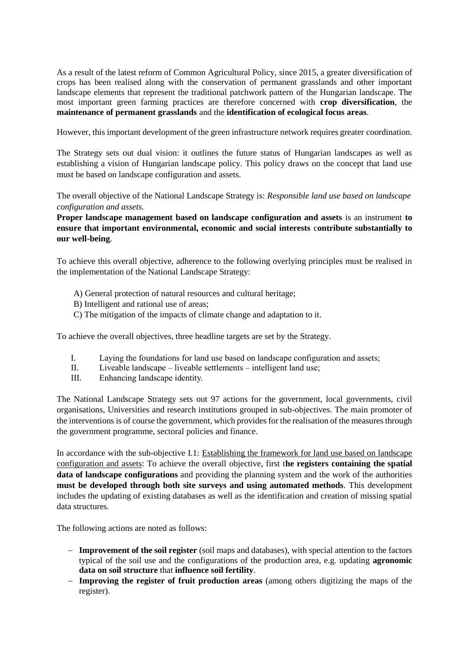As a result of the latest reform of Common Agricultural Policy, since 2015, a greater diversification of crops has been realised along with the conservation of permanent grasslands and other important landscape elements that represent the traditional patchwork pattern of the Hungarian landscape. The most important green farming practices are therefore concerned with **crop diversification**, the **maintenance of permanent grasslands** and the **identification of ecological focus areas**.

However, this important development of the green infrastructure network requires greater coordination.

The Strategy sets out dual vision: it outlines the future status of Hungarian landscapes as well as establishing a vision of Hungarian landscape policy. This policy draws on the concept that land use must be based on landscape configuration and assets.

The overall objective of the National Landscape Strategy is: *Responsible land use based on landscape configuration and assets.*

**Proper landscape management based on landscape configuration and assets** is an instrument **to ensure that important environmental, economic and social interests** c**ontribute substantially to our well-being**.

To achieve this overall objective, adherence to the following overlying principles must be realised in the implementation of the National Landscape Strategy:

- A) General protection of natural resources and cultural heritage;
- B) Intelligent and rational use of areas;
- C) The mitigation of the impacts of climate change and adaptation to it.

To achieve the overall objectives, three headline targets are set by the Strategy.

- I. Laying the foundations for land use based on landscape configuration and assets;
- II. Liveable landscape liveable settlements intelligent land use;
- III. Enhancing landscape identity.

The National Landscape Strategy sets out 97 actions for the government, local governments, civil organisations, Universities and research institutions grouped in sub-objectives. The main promoter of the interventions is of course the government, which provides for the realisation of the measures through the government programme, sectoral policies and finance.

In accordance with the sub-objective I.1: Establishing the framework for land use based on landscape configuration and assets: To achieve the overall objective, first t**he registers containing the spatial data of landscape configurations** and providing the planning system and the work of the authorities **must be developed through both site surveys and using automated methods**. This development includes the updating of existing databases as well as the identification and creation of missing spatial data structures.

The following actions are noted as follows:

- **Improvement of the soil register** (soil maps and databases), with special attention to the factors typical of the soil use and the configurations of the production area, e.g. updating **agronomic data on soil structure** that **influence soil fertility**.
- **Improving the register of fruit production areas** (among others digitizing the maps of the register).